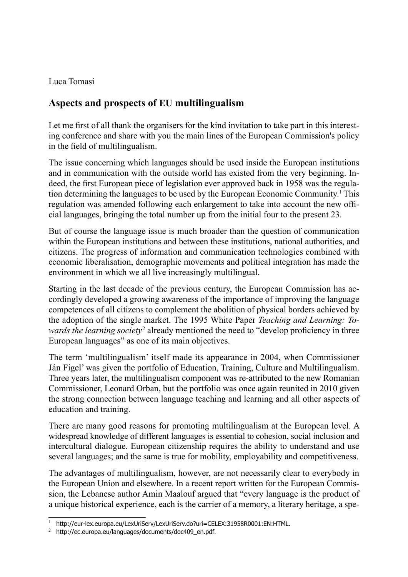Luca Tomasi

## **Aspects and prospects of EU multilingualism**

Let me first of all thank the organisers for the kind invitation to take part in this interesting conference and share with you the main lines of the European Commission's policy in the field of multilingualism.

The issue concerning which languages should be used inside the European institutions and in communication with the outside world has existed from the very beginning. Indeed, the first European piece of legislation ever approved back in 1958 was the regulation determining the languages to be used by the European Economic Community.1 This regulation was amended following each enlargement to take into account the new official languages, bringing the total number up from the initial four to the present 23.

But of course the language issue is much broader than the question of communication within the European institutions and between these institutions, national authorities, and citizens. The progress of information and communication technologies combined with economic liberalisation, demographic movements and political integration has made the environment in which we all live increasingly multilingual.

Starting in the last decade of the previous century, the European Commission has accordingly developed a growing awareness of the importance of improving the language competences of all citizens to complement the abolition of physical borders achieved by the adoption of the single market. The 1995 White Paper *Teaching and Learning: To*wards the learning society<sup>2</sup> already mentioned the need to "develop proficiency in three European languages" as one of its main objectives.

The term 'multilingualism' itself made its appearance in 2004, when Commissioner Ján Figel' was given the portfolio of Education, Training, Culture and Multilingualism. Three years later, the multilingualism component was re-attributed to the new Romanian Commissioner, Leonard Orban, but the portfolio was once again reunited in 2010 given the strong connection between language teaching and learning and all other aspects of education and training.

There are many good reasons for promoting multilingualism at the European level. A widespread knowledge of different languages is essential to cohesion, social inclusion and intercultural dialogue. European citizenship requires the ability to understand and use several languages; and the same is true for mobility, employability and competitiveness.

The advantages of multilingualism, however, are not necessarily clear to everybody in the European Union and elsewhere. In a recent report written for the European Commission, the Lebanese author Amin Maalouf argued that "every language is the product of a unique historical experience, each is the carrier of a memory, a literary heritage, a spe-

<sup>1</sup>http://eur-lex.europa.eu/LexUriServ/LexUriServ.do?uri=CELEX:31958R0001:EN:HTML.

 $2$  http://ec.europa.eu/languages/documents/doc409 en.pdf.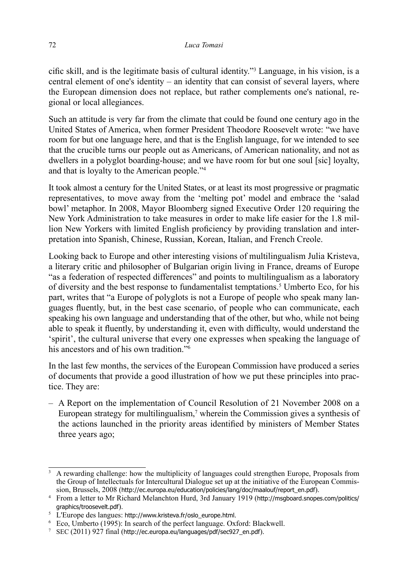$\chi$  cific skill, and is the legitimate basis of cultural identity."<sup>3</sup> Language, in his vision, is a central element of one's identity – an identity that can consist of several layers, where the European dimension does not replace, but rather complements one's national, regional or local allegiances.

Such an attitude is very far from the climate that could be found one century ago in the United States of America, when former President Theodore Roosevelt wrote: "we have room for but one language here, and that is the English language, for we intended to see that the crucible turns our people out as Americans, of American nationality, and not as dwellers in a polyglot boarding-house; and we have room for but one soul [sic] loyalty, and that is loyalty to the American people."4

It took almost a century for the United States, or at least its most progressive or pragmatic representatives, to move away from the 'melting pot' model and embrace the 'salad bowl' metaphor. In 2008, Mayor Bloomberg signed Executive Order 120 requiring the New York Administration to take measures in order to make life easier for the 1.8 million New Yorkers with limited English proficiency by providing translation and interpretation into Spanish, Chinese, Russian, Korean, Italian, and French Creole.

Looking back to Europe and other interesting visions of multilingualism Julia Kristeva, a literary critic and philosopher of Bulgarian origin living in France, dreams of Europe "as a federation of respected differences" and points to multilingualism as a laboratory of diversity and the best response to fundamentalist temptations.<sup>5</sup> Umberto Eco, for his part, writes that "a Europe of polyglots is not a Europe of people who speak many languages fluently, but, in the best case scenario, of people who can communicate, each speaking his own language and understanding that of the other, but who, while not being able to speak it fluently, by understanding it, even with difficulty, would understand the 'spirit', the cultural universe that every one expresses when speaking the language of his ancestors and of his own tradition."<sup>6</sup>

In the last few months, the services of the European Commission have produced a series of documents that provide a good illustration of how we put these principles into practice. They are:

A Report on the implementation of Council Resolution of 21 November 2008 on a –European strategy for multilingualism,<sup>7</sup> wherein the Commission gives a synthesis of the actions launched in the priority areas identified by ministers of Member States three years ago;

<sup>3</sup> A rewarding challenge: how the multiplicity of languages could strengthen Europe, Proposals from the Group of Intellectuals for Intercultural Dialogue set up at the initiative of the European Commission, Brussels, 2008 (http://ec.europa.eu/education/policies/lang/doc/maalouf/report\_en.pdf).

<sup>&</sup>lt;sup>4</sup> From a letter to Mr Richard Melanchton Hurd, 3rd January 1919 (http://msgboard.snopes.com/politics/ graphics/troosevelt.pdf).

<sup>5</sup> L'Europe des langues: http://www.kristeva.fr/oslo\_europe.html.

<sup>6</sup> Eco, Umberto (1995): In search of the perfect language. Oxford: Blackwell.

 $7$  SEC (2011) 927 final (http://ec.europa.eu/languages/pdf/sec927 en.pdf).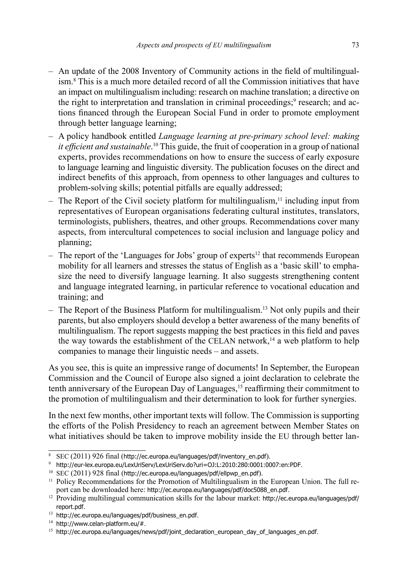- An update of the 2008 Inventory of Community actions in the field of multilingualism.8 This is a much more detailed record of all the Commission initiatives that have an impact on multilingualism including: research on machine translation; a directive on the right to interpretation and translation in criminal proceedings;<sup>9</sup> research; and actions financed through the European Social Fund in order to promote employment through better language learning;
- A policy handbook entitled *Language learning at pre-primary school level: making*  it efficient and sustainable.<sup>10</sup> This guide, the fruit of cooperation in a group of national experts, provides recommendations on how to ensure the success of early exposure to language learning and linguistic diversity. The publication focuses on the direct and indirect benefits of this approach, from openness to other languages and cultures to problem-solving skills; potential pitfalls are equally addressed;
- $-$  The Report of the Civil society platform for multilingualism,<sup>11</sup> including input from representatives of European organisations federating cultural institutes, translators, terminologists, publishers, theatres, and other groups. Recommendations cover many aspects, from intercultural competences to social inclusion and language policy and planning;
- The report of the 'Languages for Jobs' group of experts<sup>12</sup> that recommends European mobility for all learners and stresses the status of English as a 'basic skill' to emphasize the need to diversify language learning. It also suggests strengthening content and language integrated learning, in particular reference to vocational education and training; and
- The Report of the Business Platform for multilingualism.<sup>13</sup> Not only pupils and their parents, but also employers should develop a better awareness of the many benefits of multilingualism. The report suggests mapping the best practices in this field and paves the way towards the establishment of the CELAN network, $14$  a web platform to help companies to manage their linguistic needs – and assets.

As you see, this is quite an impressive range of documents! In September, the European Commission and the Council of Europe also signed a joint declaration to celebrate the tenth anniversary of the European Day of Languages,15 reafrming their commitment to the promotion of multilingualism and their determination to look for further synergies.

In the next few months, other important texts will follow. The Commission is supporting the efforts of the Polish Presidency to reach an agreement between Member States on what initiatives should be taken to improve mobility inside the EU through better lan-

<sup>8</sup> SEC (2011) 926 final (http://ec.europa.eu/languages/pdf/inventory\_en.pdf).

<sup>9</sup> http://eur-lex.europa.eu/LexUriServ/LexUriServ.do?uri=OJ:L:2010:280:0001:0007:en:PDF.

 $10$  SEC (2011) 928 final (http://ec.europa.eu/languages/pdf/ellpwp\_en.pdf).

<sup>&</sup>lt;sup>11</sup> Policy Recommendations for the Promotion of Multilingualism in the European Union. The full report can be downloaded here: http://ec.europa.eu/languages/pdf/doc5088\_en.pdf.

<sup>&</sup>lt;sup>12</sup> Providing multilingual communication skills for the labour market: http://ec.europa.eu/languages/pdf/ report.pdf.

<sup>13</sup> http://ec.europa.eu/languages/pdf/business\_en.pdf.

 $14$  http://www.celan-platform.eu/#.

<sup>&</sup>lt;sup>15</sup> http://ec.europa.eu/languages/news/pdf/joint\_declaration\_european\_day\_of\_languages\_en.pdf.